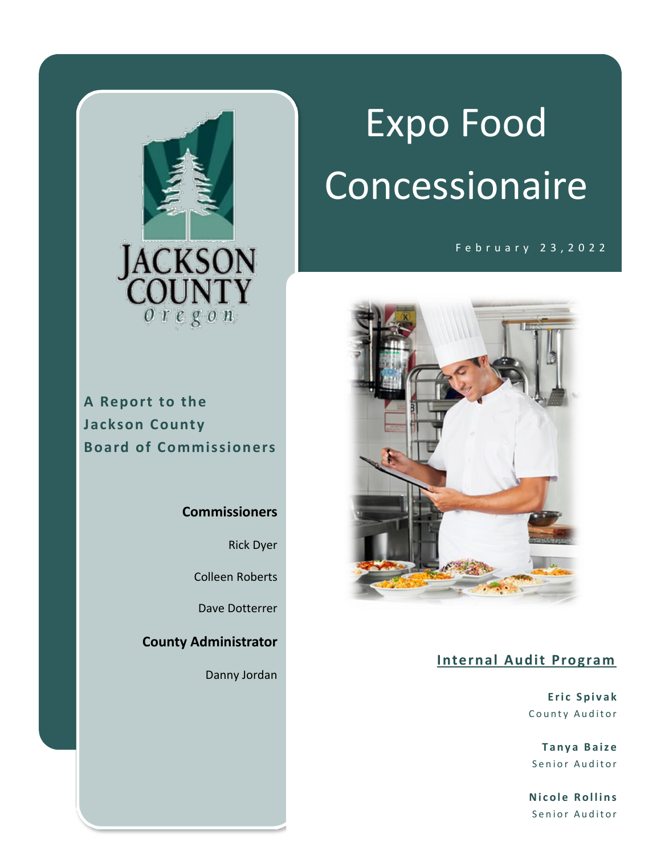

**A Report to the Jackson County Board of Commissioners**

#### **Commissioners**

Rick Dyer

Colleen Roberts

Dave Dotterrer

**County Administrator**

Danny Jordan

# Expo Food Concessionaire

F e b r u a r y 2 3 , 2 0 2 2



#### **Internal Audit Program**

**E r i c S p i v a k** County Auditor

**T a n y a B a i z e** Senior Auditor

**Nicole Rollins** Senior Auditor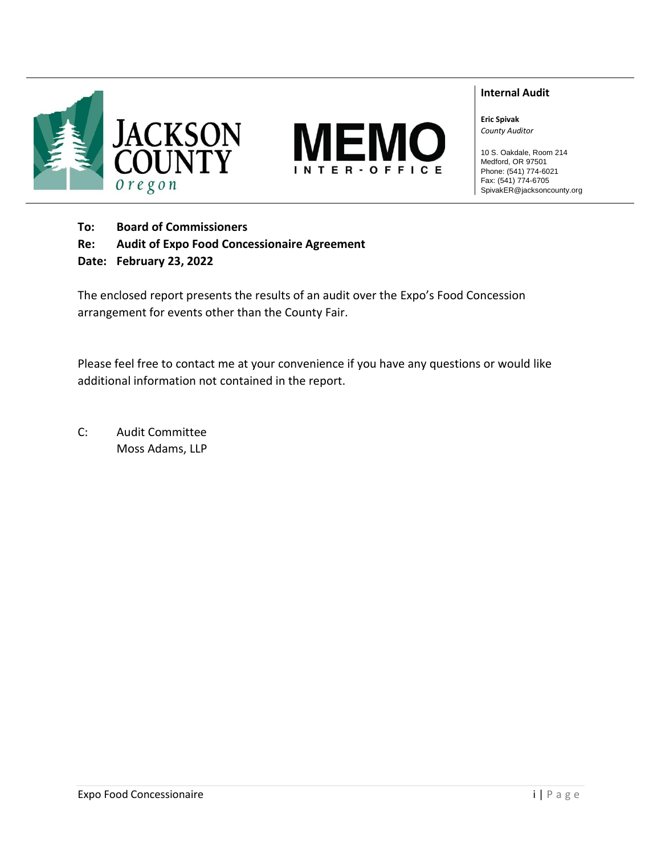



#### **Internal Audit**

**Eric Spivak** *County Auditor*

10 S. Oakdale, Room 214 Medford, OR 97501 Phone: (541) 774-6021 Fax: (541) 774-6705 SpivakER@jacksoncounty.org

**To: Board of Commissioners**

**Re: Audit of Expo Food Concessionaire Agreement**

**Date: February 23, 2022**

The enclosed report presents the results of an audit over the Expo's Food Concession arrangement for events other than the County Fair.

Please feel free to contact me at your convenience if you have any questions or would like additional information not contained in the report.

C: Audit Committee Moss Adams, LLP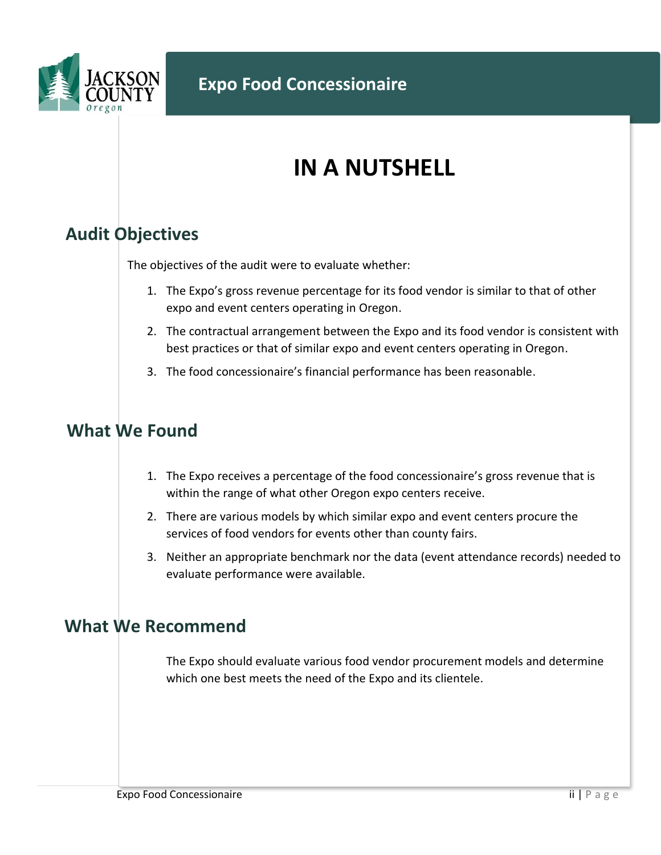

### **IN A NUTSHELL**

#### **Audit Objectives**

The objectives of the audit were to evaluate whether:

- 1. The Expo's gross revenue percentage for its food vendor is similar to that of other expo and event centers operating in Oregon.
- 2. The contractual arrangement between the Expo and its food vendor is consistent with best practices or that of similar expo and event centers operating in Oregon.
- 3. The food concessionaire's financial performance has been reasonable.

#### **What We Found**

- 1. The Expo receives a percentage of the food concessionaire's gross revenue that is within the range of what other Oregon expo centers receive.
- 2. There are various models by which similar expo and event centers procure the services of food vendors for events other than county fairs.
- 3. Neither an appropriate benchmark nor the data (event attendance records) needed to evaluate performance were available.

#### **What We Recommend**

The Expo should evaluate various food vendor procurement models and determine which one best meets the need of the Expo and its clientele.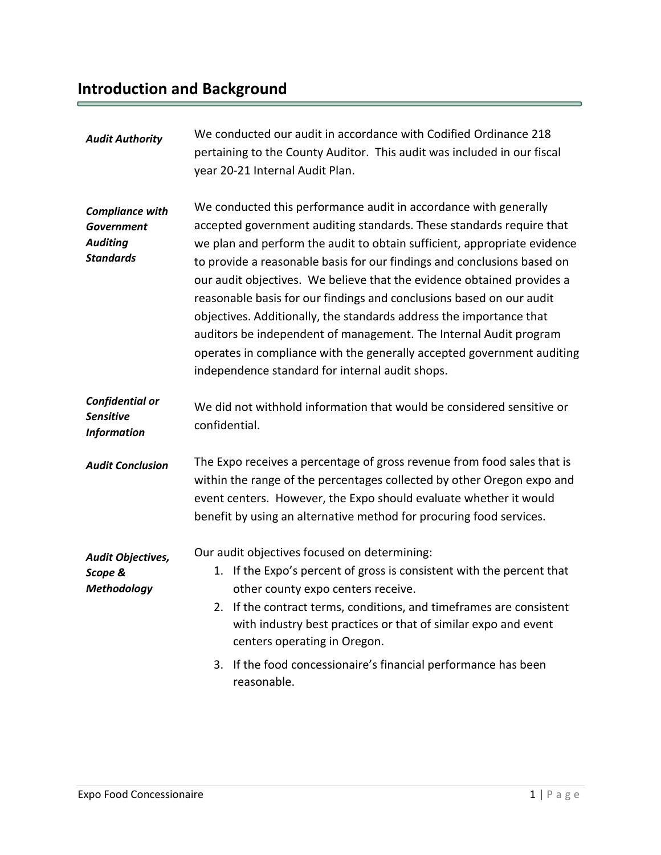## **Introduction and Background**

| We conducted our audit in accordance with Codified Ordinance 218<br>pertaining to the County Auditor. This audit was included in our fiscal                                                                                                                                                                                                                                                                                                                                                                                                                                                                                                                             |  |
|-------------------------------------------------------------------------------------------------------------------------------------------------------------------------------------------------------------------------------------------------------------------------------------------------------------------------------------------------------------------------------------------------------------------------------------------------------------------------------------------------------------------------------------------------------------------------------------------------------------------------------------------------------------------------|--|
| We conducted this performance audit in accordance with generally<br>accepted government auditing standards. These standards require that<br>we plan and perform the audit to obtain sufficient, appropriate evidence<br>to provide a reasonable basis for our findings and conclusions based on<br>our audit objectives. We believe that the evidence obtained provides a<br>reasonable basis for our findings and conclusions based on our audit<br>objectives. Additionally, the standards address the importance that<br>auditors be independent of management. The Internal Audit program<br>operates in compliance with the generally accepted government auditing |  |
| We did not withhold information that would be considered sensitive or<br>confidential.                                                                                                                                                                                                                                                                                                                                                                                                                                                                                                                                                                                  |  |
| The Expo receives a percentage of gross revenue from food sales that is<br>within the range of the percentages collected by other Oregon expo and<br>event centers. However, the Expo should evaluate whether it would<br>benefit by using an alternative method for procuring food services.                                                                                                                                                                                                                                                                                                                                                                           |  |
| If the Expo's percent of gross is consistent with the percent that<br>2. If the contract terms, conditions, and timeframes are consistent<br>with industry best practices or that of similar expo and event<br>If the food concessionaire's financial performance has been                                                                                                                                                                                                                                                                                                                                                                                              |  |
|                                                                                                                                                                                                                                                                                                                                                                                                                                                                                                                                                                                                                                                                         |  |

ö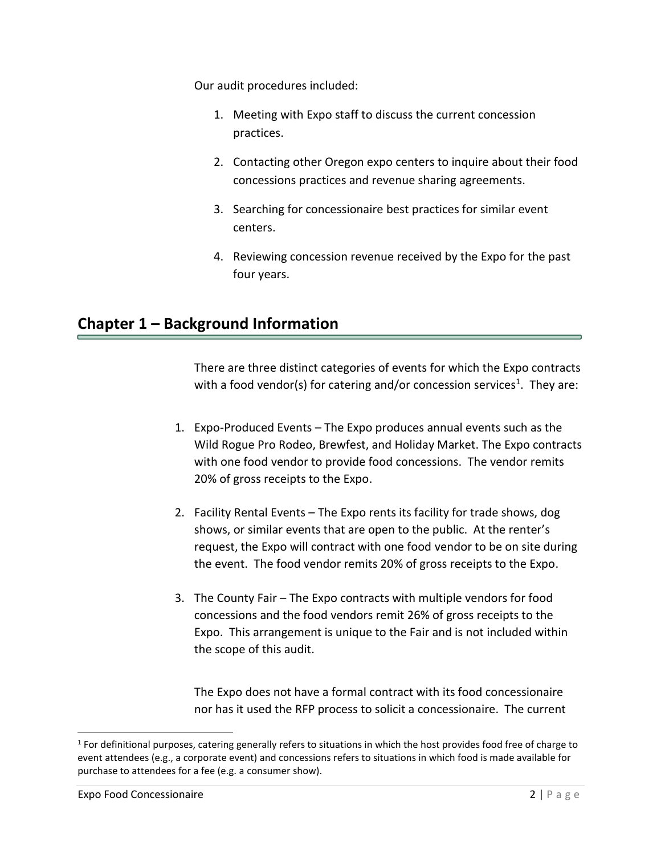Our audit procedures included:

- 1. Meeting with Expo staff to discuss the current concession practices.
- 2. Contacting other Oregon expo centers to inquire about their food concessions practices and revenue sharing agreements.
- 3. Searching for concessionaire best practices for similar event centers.
- 4. Reviewing concession revenue received by the Expo for the past four years.

#### **Chapter 1 – Background Information**

There are three distinct categories of events for which the Expo contracts with a food vendor(s) for catering and/or concession services<sup>1</sup>. They are:

- 1. Expo-Produced Events The Expo produces annual events such as the Wild Rogue Pro Rodeo, Brewfest, and Holiday Market. The Expo contracts with one food vendor to provide food concessions. The vendor remits 20% of gross receipts to the Expo.
- 2. Facility Rental Events The Expo rents its facility for trade shows, dog shows, or similar events that are open to the public. At the renter's request, the Expo will contract with one food vendor to be on site during the event. The food vendor remits 20% of gross receipts to the Expo.
- 3. The County Fair The Expo contracts with multiple vendors for food concessions and the food vendors remit 26% of gross receipts to the Expo. This arrangement is unique to the Fair and is not included within the scope of this audit.

The Expo does not have a formal contract with its food concessionaire nor has it used the RFP process to solicit a concessionaire. The current

 $\overline{a}$ 

<sup>&</sup>lt;sup>1</sup> For definitional purposes, catering generally refers to situations in which the host provides food free of charge to event attendees (e.g., a corporate event) and concessions refers to situations in which food is made available for purchase to attendees for a fee (e.g. a consumer show).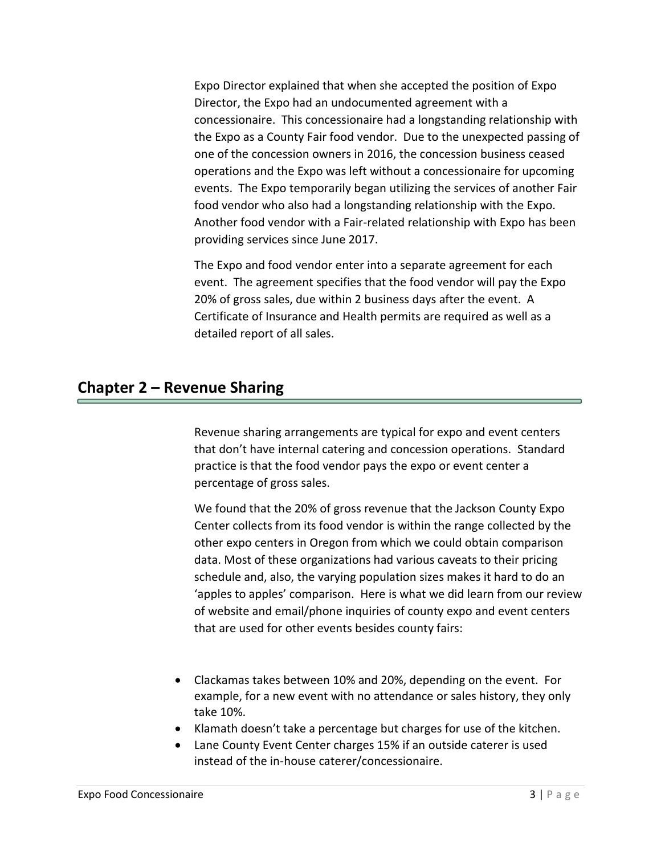Expo Director explained that when she accepted the position of Expo Director, the Expo had an undocumented agreement with a concessionaire. This concessionaire had a longstanding relationship with the Expo as a County Fair food vendor. Due to the unexpected passing of one of the concession owners in 2016, the concession business ceased operations and the Expo was left without a concessionaire for upcoming events. The Expo temporarily began utilizing the services of another Fair food vendor who also had a longstanding relationship with the Expo. Another food vendor with a Fair-related relationship with Expo has been providing services since June 2017.

The Expo and food vendor enter into a separate agreement for each event. The agreement specifies that the food vendor will pay the Expo 20% of gross sales, due within 2 business days after the event. A Certificate of Insurance and Health permits are required as well as a detailed report of all sales.

#### **Chapter 2 – Revenue Sharing**

Revenue sharing arrangements are typical for expo and event centers that don't have internal catering and concession operations. Standard practice is that the food vendor pays the expo or event center a percentage of gross sales.

We found that the 20% of gross revenue that the Jackson County Expo Center collects from its food vendor is within the range collected by the other expo centers in Oregon from which we could obtain comparison data. Most of these organizations had various caveats to their pricing schedule and, also, the varying population sizes makes it hard to do an 'apples to apples' comparison. Here is what we did learn from our review of website and email/phone inquiries of county expo and event centers that are used for other events besides county fairs:

- Clackamas takes between 10% and 20%, depending on the event. For example, for a new event with no attendance or sales history, they only take 10%.
- Klamath doesn't take a percentage but charges for use of the kitchen.
- Lane County Event Center charges 15% if an outside caterer is used instead of the in-house caterer/concessionaire.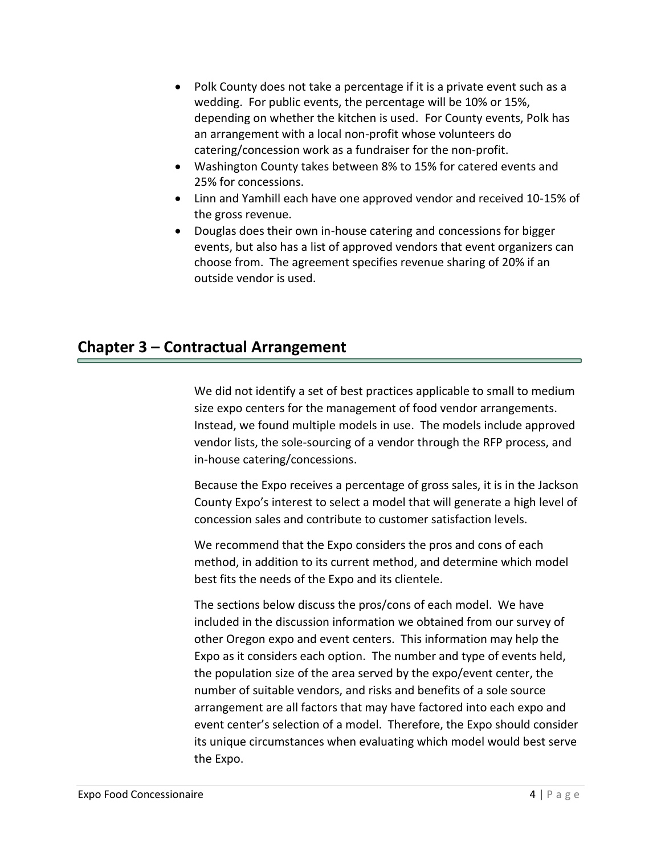- Polk County does not take a percentage if it is a private event such as a wedding. For public events, the percentage will be 10% or 15%, depending on whether the kitchen is used. For County events, Polk has an arrangement with a local non-profit whose volunteers do catering/concession work as a fundraiser for the non-profit.
- Washington County takes between 8% to 15% for catered events and 25% for concessions.
- Linn and Yamhill each have one approved vendor and received 10-15% of the gross revenue.
- Douglas does their own in-house catering and concessions for bigger events, but also has a list of approved vendors that event organizers can choose from. The agreement specifies revenue sharing of 20% if an outside vendor is used.

#### **Chapter 3 – Contractual Arrangement**

We did not identify a set of best practices applicable to small to medium size expo centers for the management of food vendor arrangements. Instead, we found multiple models in use. The models include approved vendor lists, the sole-sourcing of a vendor through the RFP process, and in-house catering/concessions.

Because the Expo receives a percentage of gross sales, it is in the Jackson County Expo's interest to select a model that will generate a high level of concession sales and contribute to customer satisfaction levels.

We recommend that the Expo considers the pros and cons of each method, in addition to its current method, and determine which model best fits the needs of the Expo and its clientele.

The sections below discuss the pros/cons of each model. We have included in the discussion information we obtained from our survey of other Oregon expo and event centers. This information may help the Expo as it considers each option. The number and type of events held, the population size of the area served by the expo/event center, the number of suitable vendors, and risks and benefits of a sole source arrangement are all factors that may have factored into each expo and event center's selection of a model. Therefore, the Expo should consider its unique circumstances when evaluating which model would best serve the Expo.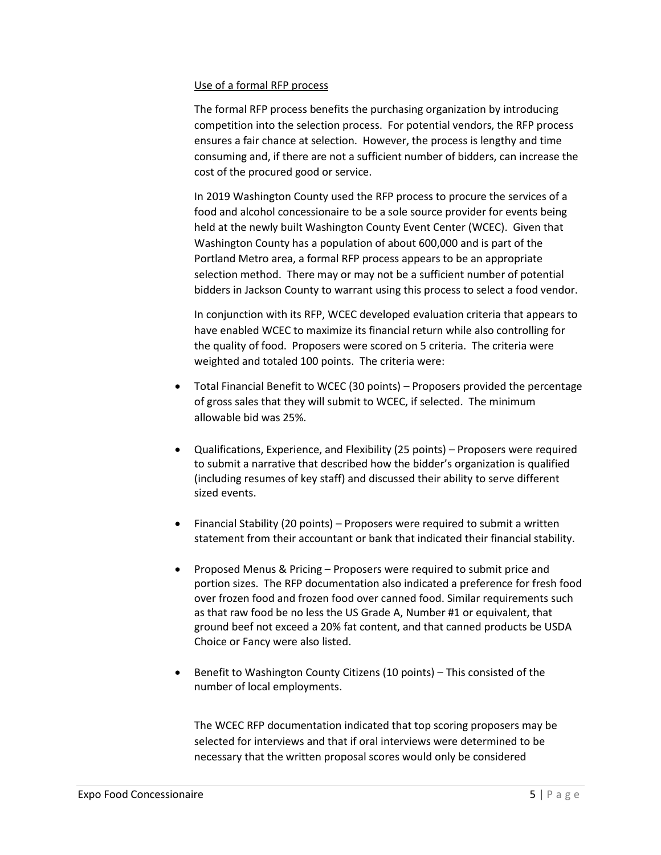#### Use of a formal RFP process

The formal RFP process benefits the purchasing organization by introducing competition into the selection process. For potential vendors, the RFP process ensures a fair chance at selection. However, the process is lengthy and time consuming and, if there are not a sufficient number of bidders, can increase the cost of the procured good or service.

In 2019 Washington County used the RFP process to procure the services of a food and alcohol concessionaire to be a sole source provider for events being held at the newly built Washington County Event Center (WCEC). Given that Washington County has a population of about 600,000 and is part of the Portland Metro area, a formal RFP process appears to be an appropriate selection method. There may or may not be a sufficient number of potential bidders in Jackson County to warrant using this process to select a food vendor.

In conjunction with its RFP, WCEC developed evaluation criteria that appears to have enabled WCEC to maximize its financial return while also controlling for the quality of food. Proposers were scored on 5 criteria. The criteria were weighted and totaled 100 points. The criteria were:

- Total Financial Benefit to WCEC (30 points) Proposers provided the percentage of gross sales that they will submit to WCEC, if selected. The minimum allowable bid was 25%.
- Qualifications, Experience, and Flexibility (25 points) Proposers were required to submit a narrative that described how the bidder's organization is qualified (including resumes of key staff) and discussed their ability to serve different sized events.
- Financial Stability (20 points) Proposers were required to submit a written statement from their accountant or bank that indicated their financial stability.
- Proposed Menus & Pricing Proposers were required to submit price and portion sizes. The RFP documentation also indicated a preference for fresh food over frozen food and frozen food over canned food. Similar requirements such as that raw food be no less the US Grade A, Number #1 or equivalent, that ground beef not exceed a 20% fat content, and that canned products be USDA Choice or Fancy were also listed.
- Benefit to Washington County Citizens (10 points) This consisted of the number of local employments.

The WCEC RFP documentation indicated that top scoring proposers may be selected for interviews and that if oral interviews were determined to be necessary that the written proposal scores would only be considered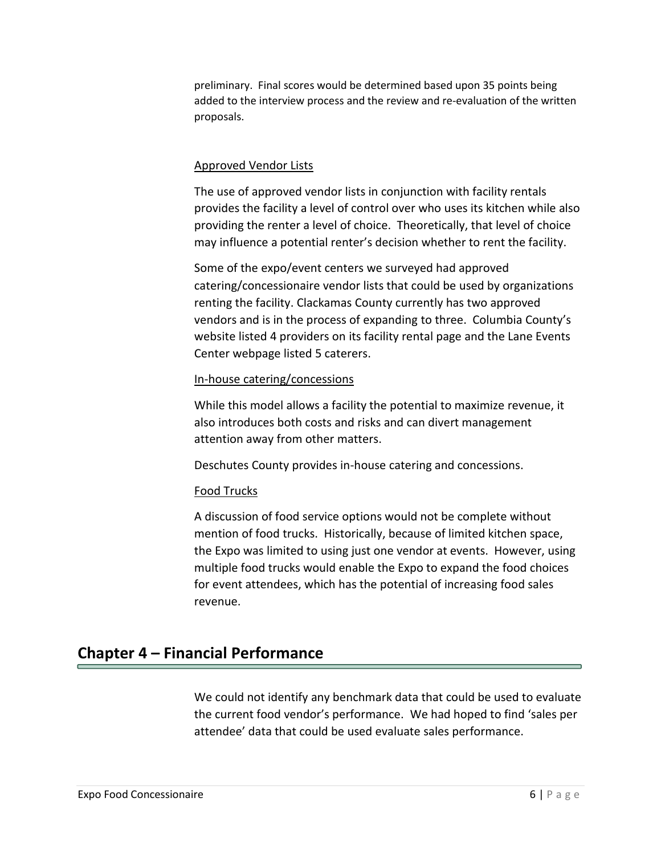preliminary. Final scores would be determined based upon 35 points being added to the interview process and the review and re-evaluation of the written proposals.

#### Approved Vendor Lists

The use of approved vendor lists in conjunction with facility rentals provides the facility a level of control over who uses its kitchen while also providing the renter a level of choice. Theoretically, that level of choice may influence a potential renter's decision whether to rent the facility.

Some of the expo/event centers we surveyed had approved catering/concessionaire vendor lists that could be used by organizations renting the facility. Clackamas County currently has two approved vendors and is in the process of expanding to three. Columbia County's website listed 4 providers on its facility rental page and the Lane Events Center webpage listed 5 caterers.

#### In-house catering/concessions

While this model allows a facility the potential to maximize revenue, it also introduces both costs and risks and can divert management attention away from other matters.

Deschutes County provides in-house catering and concessions.

#### Food Trucks

A discussion of food service options would not be complete without mention of food trucks. Historically, because of limited kitchen space, the Expo was limited to using just one vendor at events. However, using multiple food trucks would enable the Expo to expand the food choices for event attendees, which has the potential of increasing food sales revenue.

#### **Chapter 4 – Financial Performance**

We could not identify any benchmark data that could be used to evaluate the current food vendor's performance. We had hoped to find 'sales per attendee' data that could be used evaluate sales performance.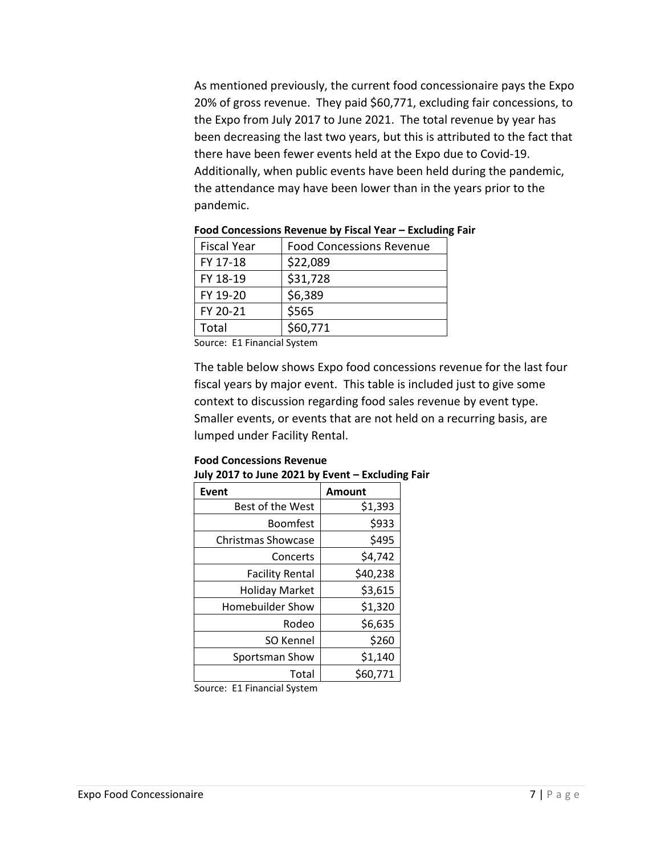As mentioned previously, the current food concessionaire pays the Expo 20% of gross revenue. They paid \$60,771, excluding fair concessions, to the Expo from July 2017 to June 2021. The total revenue by year has been decreasing the last two years, but this is attributed to the fact that there have been fewer events held at the Expo due to Covid-19. Additionally, when public events have been held during the pandemic, the attendance may have been lower than in the years prior to the pandemic.

| <b>Fiscal Year</b> | <b>Food Concessions Revenue</b> |
|--------------------|---------------------------------|
| FY 17-18           | \$22,089                        |
| FY 18-19           | \$31,728                        |
| FY 19-20           | \$6,389                         |
| FY 20-21           | \$565                           |
| Total              | \$60,771                        |

**Food Concessions Revenue by Fiscal Year – Excluding Fair**

Source: E1 Financial System

The table below shows Expo food concessions revenue for the last four fiscal years by major event. This table is included just to give some context to discussion regarding food sales revenue by event type. Smaller events, or events that are not held on a recurring basis, are lumped under Facility Rental.

| JUIY ZUI7 to JUNE ZUZI DY EVENT – EXCIUDIN |          |  |
|--------------------------------------------|----------|--|
| <b>Event</b>                               | Amount   |  |
| Best of the West                           | \$1,393  |  |
| <b>Boomfest</b>                            | \$933    |  |
| <b>Christmas Showcase</b>                  | \$495    |  |
| Concerts                                   | \$4,742  |  |
| <b>Facility Rental</b>                     | \$40,238 |  |
| <b>Holiday Market</b>                      | \$3,615  |  |
| <b>Homebuilder Show</b>                    | \$1,320  |  |
| Rodeo                                      | \$6,635  |  |
| SO Kennel                                  | \$260    |  |
| Sportsman Show                             | \$1,140  |  |
| Total                                      | \$60,771 |  |

#### **Food Concessions Revenue July 2017 to June 2021 by Event – Excluding Fair**

Source: E1 Financial System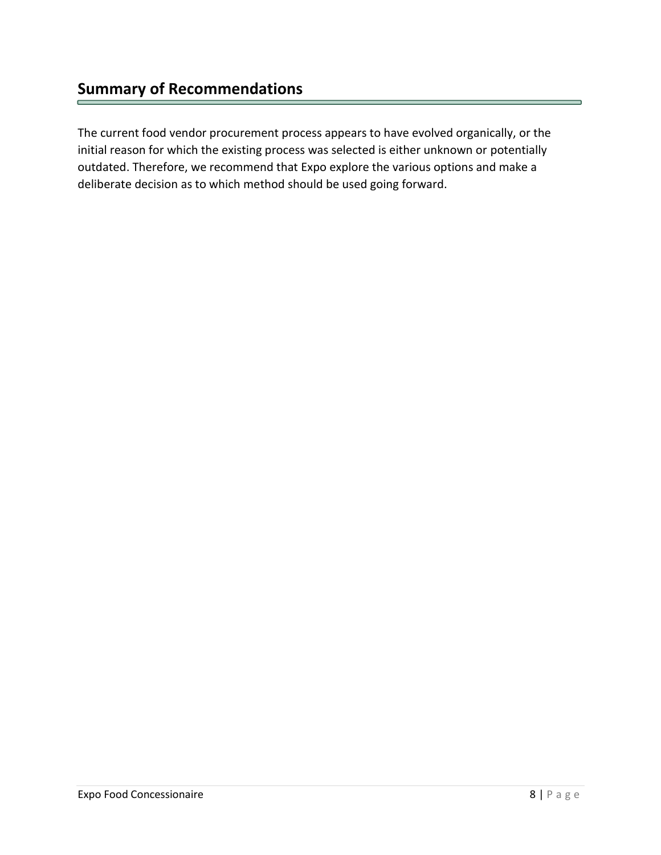The current food vendor procurement process appears to have evolved organically, or the initial reason for which the existing process was selected is either unknown or potentially outdated. Therefore, we recommend that Expo explore the various options and make a deliberate decision as to which method should be used going forward.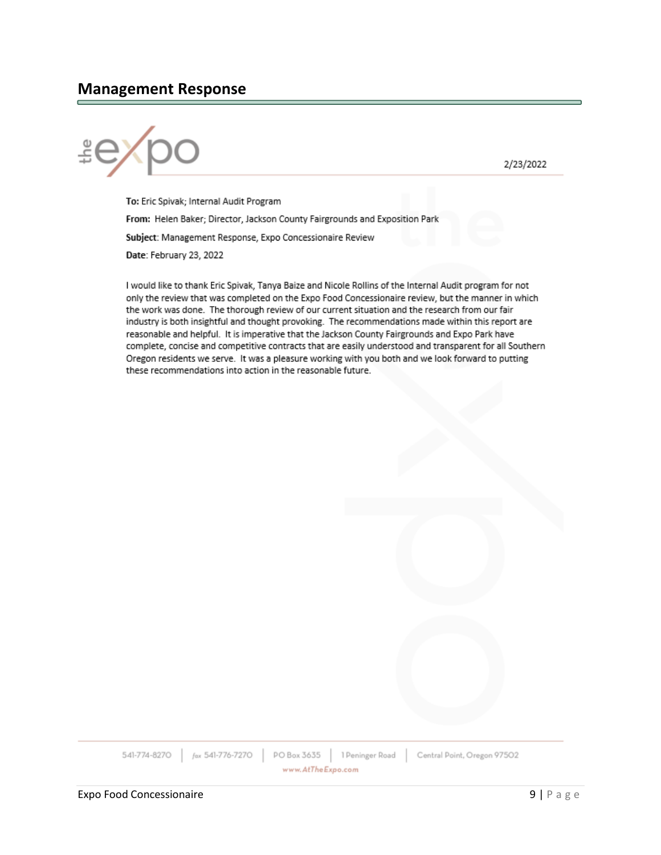#### **Management Response**



2/23/2022

To: Eric Spivak; Internal Audit Program From: Helen Baker; Director, Jackson County Fairgrounds and Exposition Park Subject: Management Response, Expo Concessionaire Review Date: February 23, 2022

I would like to thank Eric Spivak, Tanya Baize and Nicole Rollins of the Internal Audit program for not only the review that was completed on the Expo Food Concessionaire review, but the manner in which the work was done. The thorough review of our current situation and the research from our fair industry is both insightful and thought provoking. The recommendations made within this report are reasonable and helpful. It is imperative that the Jackson County Fairgrounds and Expo Park have complete, concise and competitive contracts that are easily understood and transparent for all Southern Oregon residents we serve. It was a pleasure working with you both and we look forward to putting these recommendations into action in the reasonable future.

541-774-8270 fax 541-776-7270 PO Box 3635 1 Peninger Road Central Point, Oregon 97502 www.AtTheExpo.com